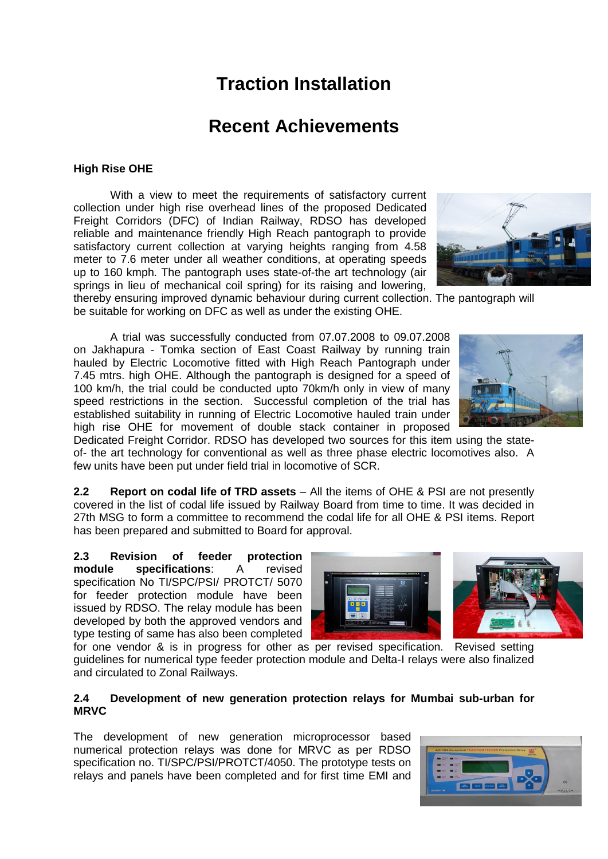# **Traction Installation**

## **Recent Achievements**

## **High Rise OHE**

With a view to meet the requirements of satisfactory current collection under high rise overhead lines of the proposed Dedicated Freight Corridors (DFC) of Indian Railway, RDSO has developed reliable and maintenance friendly High Reach pantograph to provide satisfactory current collection at varying heights ranging from 4.58 meter to 7.6 meter under all weather conditions, at operating speeds up to 160 kmph. The pantograph uses state-of-the art technology (air springs in lieu of mechanical coil spring) for its raising and lowering,



thereby ensuring improved dynamic behaviour during current collection. The pantograph will be suitable for working on DFC as well as under the existing OHE.

A trial was successfully conducted from 07.07.2008 to 09.07.2008 on Jakhapura - Tomka section of East Coast Railway by running train hauled by Electric Locomotive fitted with High Reach Pantograph under 7.45 mtrs. high OHE. Although the pantograph is designed for a speed of 100 km/h, the trial could be conducted upto 70km/h only in view of many speed restrictions in the section. Successful completion of the trial has established suitability in running of Electric Locomotive hauled train under high rise OHE for movement of double stack container in proposed

Dedicated Freight Corridor. RDSO has developed two sources for this item using the stateof- the art technology for conventional as well as three phase electric locomotives also. A few units have been put under field trial in locomotive of SCR.

**2.2 Report on codal life of TRD assets** – All the items of OHE & PSI are not presently covered in the list of codal life issued by Railway Board from time to time. It was decided in 27th MSG to form a committee to recommend the codal life for all OHE & PSI items. Report has been prepared and submitted to Board for approval.

**2.3 Revision of feeder protection module specifications**: A revised specification No TI/SPC/PSI/ PROTCT/ 5070 for feeder protection module have been issued by RDSO. The relay module has been developed by both the approved vendors and type testing of same has also been completed





for one vendor & is in progress for other as per revised specification. Revised setting guidelines for numerical type feeder protection module and Delta-I relays were also finalized and circulated to Zonal Railways.

#### **2.4 Development of new generation protection relays for Mumbai sub-urban for MRVC**

The development of new generation microprocessor based numerical protection relays was done for MRVC as per RDSO specification no. TI/SPC/PSI/PROTCT/4050. The prototype tests on relays and panels have been completed and for first time EMI and

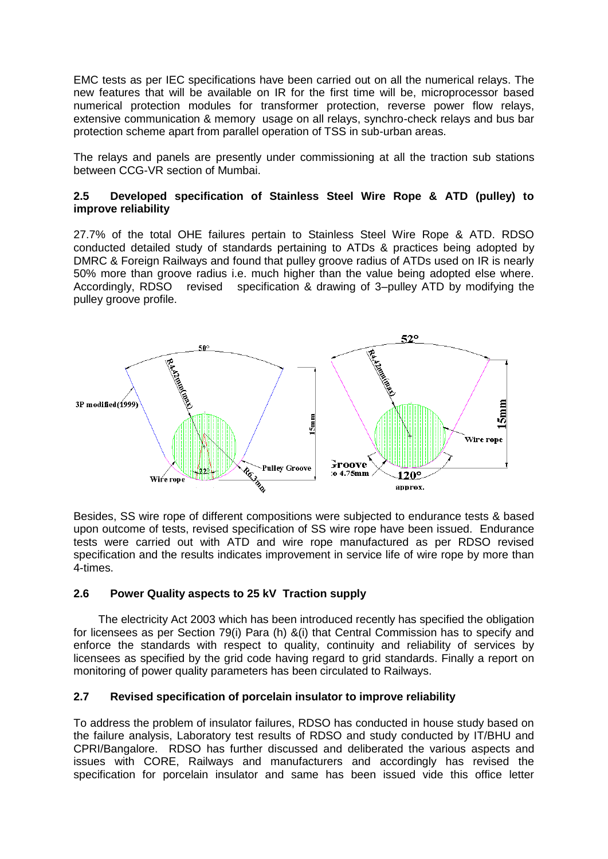EMC tests as per IEC specifications have been carried out on all the numerical relays. The new features that will be available on IR for the first time will be, microprocessor based numerical protection modules for transformer protection, reverse power flow relays, extensive communication & memory usage on all relays, synchro-check relays and bus bar protection scheme apart from parallel operation of TSS in sub-urban areas.

The relays and panels are presently under commissioning at all the traction sub stations between CCG-VR section of Mumbai.

## **2.5 Developed specification of Stainless Steel Wire Rope & ATD (pulley) to improve reliability**

27.7% of the total OHE failures pertain to Stainless Steel Wire Rope & ATD. RDSO conducted detailed study of standards pertaining to ATDs & practices being adopted by DMRC & Foreign Railways and found that pulley groove radius of ATDs used on IR is nearly 50% more than groove radius i.e. much higher than the value being adopted else where. Accordingly, RDSO revised specification & drawing of 3–pulley ATD by modifying the pulley groove profile.



Besides, SS wire rope of different compositions were subjected to endurance tests & based upon outcome of tests, revised specification of SS wire rope have been issued. Endurance tests were carried out with ATD and wire rope manufactured as per RDSO revised specification and the results indicates improvement in service life of wire rope by more than 4-times.

## **2.6 Power Quality aspects to 25 kV Traction supply**

 The electricity Act 2003 which has been introduced recently has specified the obligation for licensees as per Section 79(i) Para (h) &(i) that Central Commission has to specify and enforce the standards with respect to quality, continuity and reliability of services by licensees as specified by the grid code having regard to grid standards. Finally a report on monitoring of power quality parameters has been circulated to Railways.

## **2.7 Revised specification of porcelain insulator to improve reliability**

To address the problem of insulator failures, RDSO has conducted in house study based on the failure analysis, Laboratory test results of RDSO and study conducted by IT/BHU and CPRI/Bangalore. RDSO has further discussed and deliberated the various aspects and issues with CORE, Railways and manufacturers and accordingly has revised the specification for porcelain insulator and same has been issued vide this office letter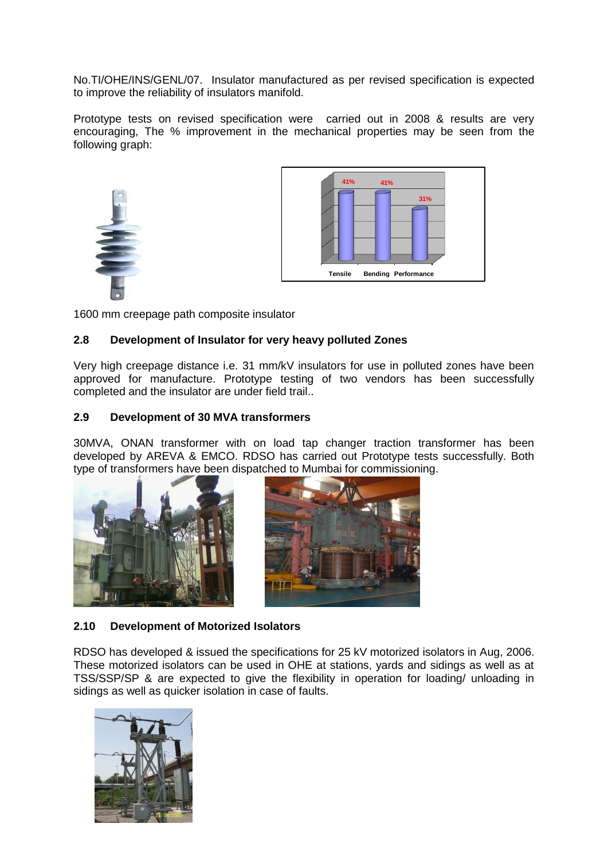No.TI/OHE/INS/GENL/07. Insulator manufactured as per revised specification is expected to improve the reliability of insulators manifold.

Prototype tests on revised specification were carried out in 2008 & results are very encouraging, The % improvement in the mechanical properties may be seen from the following graph:





1600 mm creepage path composite insulator

## **2.8 Development of Insulator for very heavy polluted Zones**

Very high creepage distance i.e. 31 mm/kV insulators for use in polluted zones have been approved for manufacture. Prototype testing of two vendors has been successfully completed and the insulator are under field trail..

## **2.9 Development of 30 MVA transformers**

30MVA, ONAN transformer with on load tap changer traction transformer has been developed by AREVA & EMCO. RDSO has carried out Prototype tests successfully. Both type of transformers have been dispatched to Mumbai for commissioning.





## **2.10 Development of Motorized Isolators**

RDSO has developed & issued the specifications for 25 kV motorized isolators in Aug, 2006. These motorized isolators can be used in OHE at stations, yards and sidings as well as at TSS/SSP/SP & are expected to give the flexibility in operation for loading/ unloading in sidings as well as quicker isolation in case of faults.

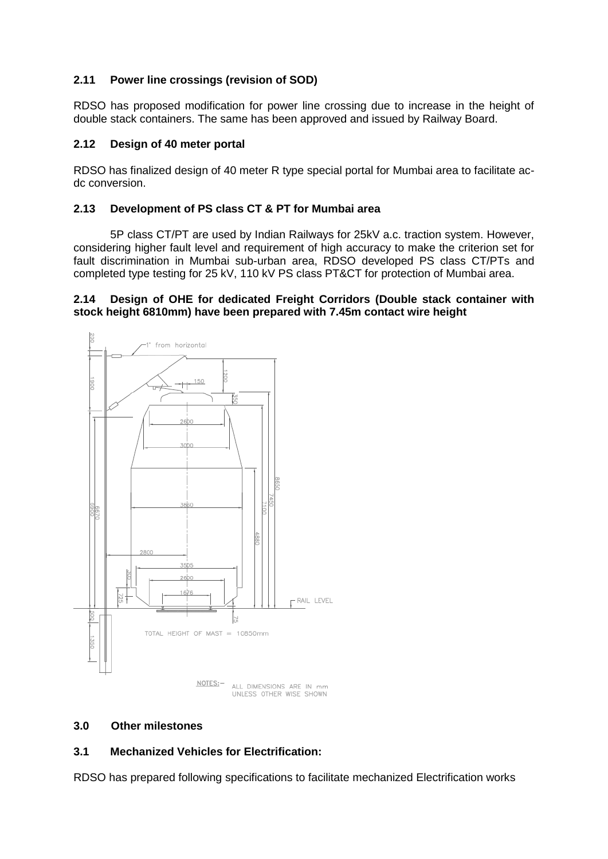## **2.11 Power line crossings (revision of SOD)**

RDSO has proposed modification for power line crossing due to increase in the height of double stack containers. The same has been approved and issued by Railway Board.

## **2.12 Design of 40 meter portal**

RDSO has finalized design of 40 meter R type special portal for Mumbai area to facilitate acdc conversion.

## **2.13 Development of PS class CT & PT for Mumbai area**

5P class CT/PT are used by Indian Railways for 25kV a.c. traction system. However, considering higher fault level and requirement of high accuracy to make the criterion set for fault discrimination in Mumbai sub-urban area, RDSO developed PS class CT/PTs and completed type testing for 25 kV, 110 kV PS class PT&CT for protection of Mumbai area.

## **2.14 Design of OHE for dedicated Freight Corridors (Double stack container with stock height 6810mm) have been prepared with 7.45m contact wire height**



## **3.0 Other milestones**

## **3.1 Mechanized Vehicles for Electrification:**

RDSO has prepared following specifications to facilitate mechanized Electrification works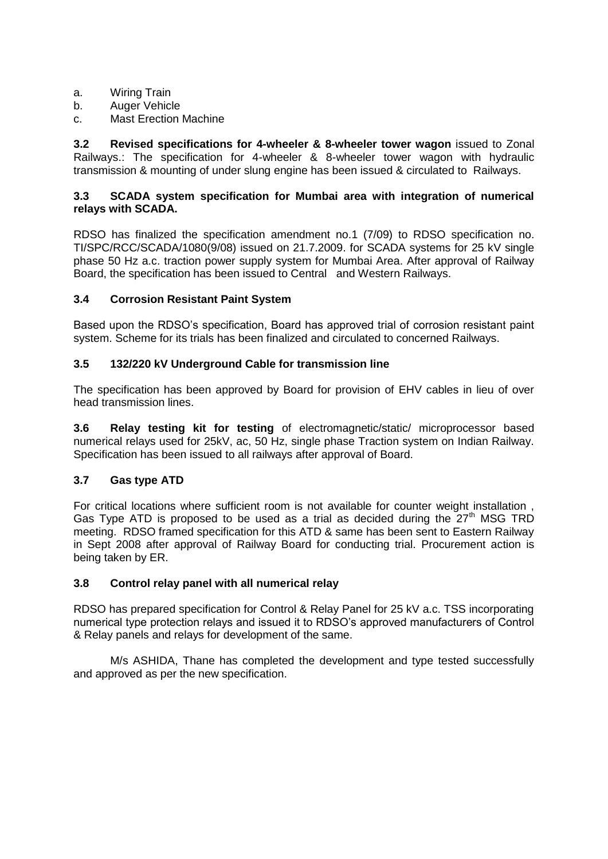- a. Wiring Train
- b. Auger Vehicle
- c. Mast Erection Machine

**3.2 Revised specifications for 4-wheeler & 8-wheeler tower wagon** issued to Zonal Railways.: The specification for 4-wheeler & 8-wheeler tower wagon with hydraulic transmission & mounting of under slung engine has been issued & circulated to Railways.

## **3.3 SCADA system specification for Mumbai area with integration of numerical relays with SCADA.**

RDSO has finalized the specification amendment no.1 (7/09) to RDSO specification no. TI/SPC/RCC/SCADA/1080(9/08) issued on 21.7.2009. for SCADA systems for 25 kV single phase 50 Hz a.c. traction power supply system for Mumbai Area. After approval of Railway Board, the specification has been issued to Central and Western Railways.

## **3.4 Corrosion Resistant Paint System**

Based upon the RDSO"s specification, Board has approved trial of corrosion resistant paint system. Scheme for its trials has been finalized and circulated to concerned Railways.

## **3.5 132/220 kV Underground Cable for transmission line**

The specification has been approved by Board for provision of EHV cables in lieu of over head transmission lines.

**3.6 Relay testing kit for testing** of electromagnetic/static/ microprocessor based numerical relays used for 25kV, ac, 50 Hz, single phase Traction system on Indian Railway. Specification has been issued to all railways after approval of Board.

## **3.7 Gas type ATD**

For critical locations where sufficient room is not available for counter weight installation , Gas Type ATD is proposed to be used as a trial as decided during the  $27<sup>th</sup>$  MSG TRD meeting. RDSO framed specification for this ATD & same has been sent to Eastern Railway in Sept 2008 after approval of Railway Board for conducting trial. Procurement action is being taken by ER.

## **3.8 Control relay panel with all numerical relay**

RDSO has prepared specification for Control & Relay Panel for 25 kV a.c. TSS incorporating numerical type protection relays and issued it to RDSO"s approved manufacturers of Control & Relay panels and relays for development of the same.

M/s ASHIDA, Thane has completed the development and type tested successfully and approved as per the new specification.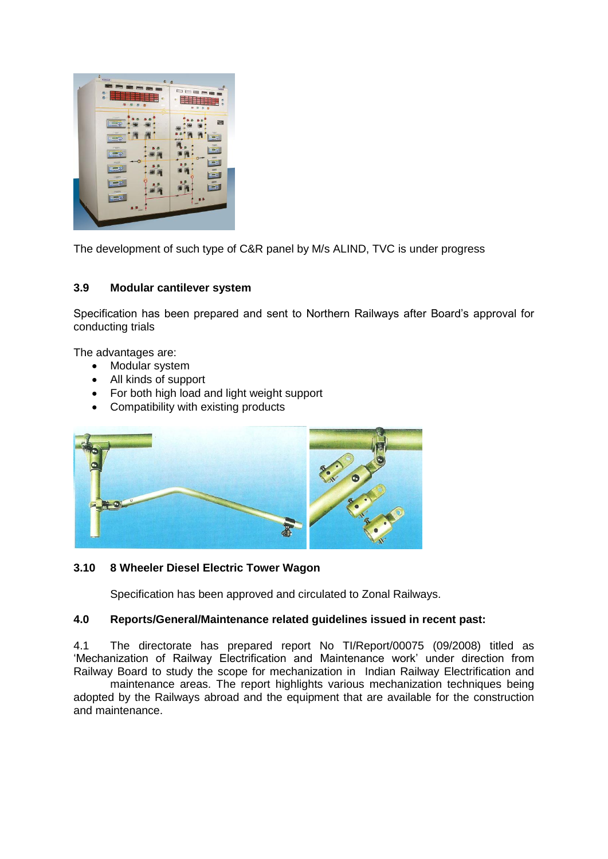

The development of such type of C&R panel by M/s ALIND, TVC is under progress

## **3.9 Modular cantilever system**

Specification has been prepared and sent to Northern Railways after Board"s approval for conducting trials

The advantages are:

- Modular system
- All kinds of support
- For both high load and light weight support
- Compatibility with existing products



## **3.10 8 Wheeler Diesel Electric Tower Wagon**

Specification has been approved and circulated to Zonal Railways.

## **4.0 Reports/General/Maintenance related guidelines issued in recent past:**

4.1 The directorate has prepared report No TI/Report/00075 (09/2008) titled as 'Mechanization of Railway Electrification and Maintenance work' under direction from Railway Board to study the scope for mechanization in Indian Railway Electrification and

maintenance areas. The report highlights various mechanization techniques being adopted by the Railways abroad and the equipment that are available for the construction and maintenance.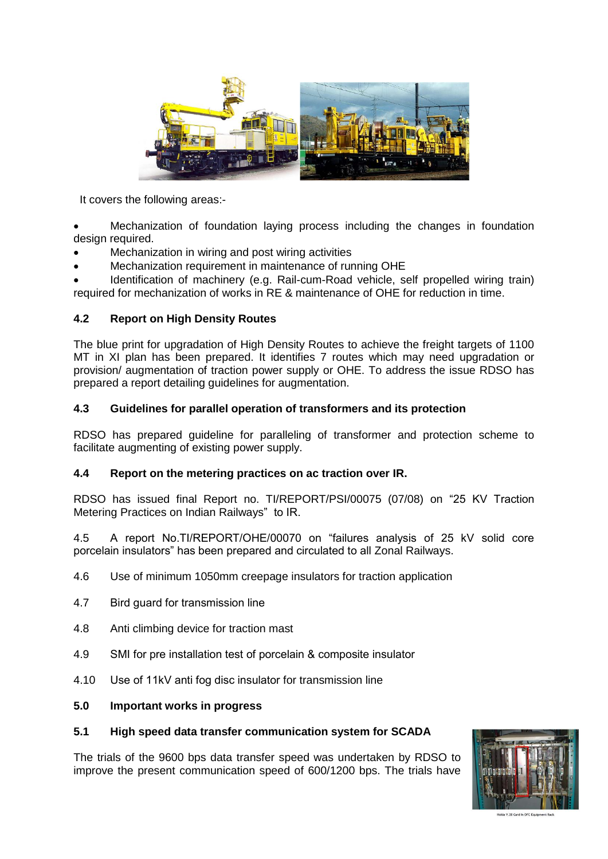

It covers the following areas:-

 Mechanization of foundation laying process including the changes in foundation design required.

- Mechanization in wiring and post wiring activities
- Mechanization requirement in maintenance of running OHE

 Identification of machinery (e.g. Rail-cum-Road vehicle, self propelled wiring train) required for mechanization of works in RE & maintenance of OHE for reduction in time.

## **4.2 Report on High Density Routes**

The blue print for upgradation of High Density Routes to achieve the freight targets of 1100 MT in XI plan has been prepared. It identifies 7 routes which may need upgradation or provision/ augmentation of traction power supply or OHE. To address the issue RDSO has prepared a report detailing guidelines for augmentation.

## **4.3 Guidelines for parallel operation of transformers and its protection**

RDSO has prepared guideline for paralleling of transformer and protection scheme to facilitate augmenting of existing power supply.

## **4.4 Report on the metering practices on ac traction over IR.**

RDSO has issued final Report no. TI/REPORT/PSI/00075 (07/08) on "25 KV Traction Metering Practices on Indian Railways" to IR.

4.5 A report No.TI/REPORT/OHE/00070 on "failures analysis of 25 kV solid core porcelain insulators" has been prepared and circulated to all Zonal Railways.

- 4.6 Use of minimum 1050mm creepage insulators for traction application
- 4.7 Bird guard for transmission line
- 4.8 Anti climbing device for traction mast
- 4.9 SMI for pre installation test of porcelain & composite insulator
- 4.10 Use of 11kV anti fog disc insulator for transmission line

#### **5.0 Important works in progress**

## **5.1 High speed data transfer communication system for SCADA**

The trials of the 9600 bps data transfer speed was undertaken by RDSO to improve the present communication speed of 600/1200 bps. The trials have